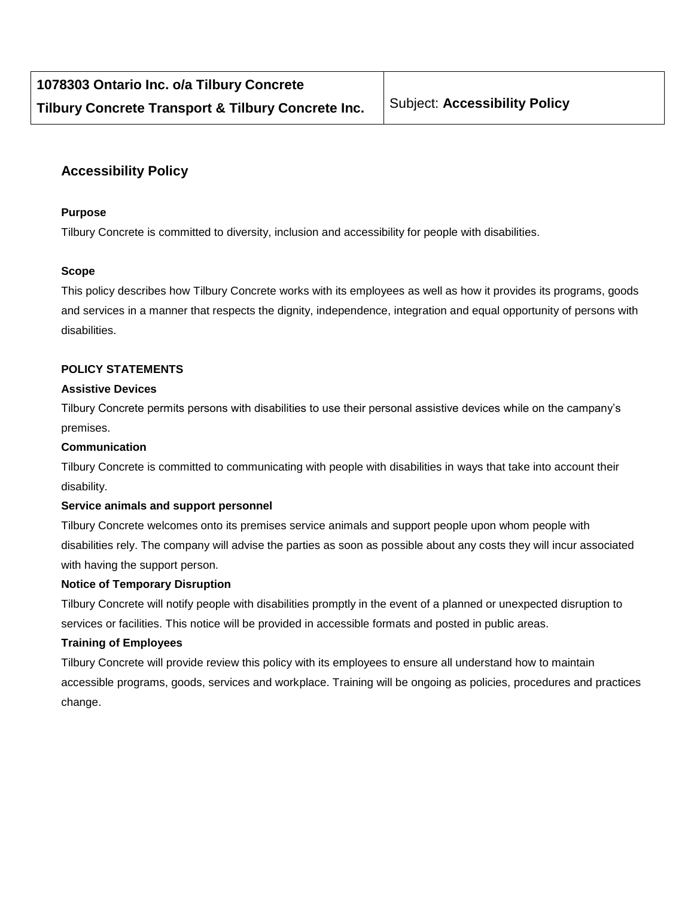## **Accessibility Policy**

#### **Purpose**

Tilbury Concrete is committed to diversity, inclusion and accessibility for people with disabilities.

#### **Scope**

This policy describes how Tilbury Concrete works with its employees as well as how it provides its programs, goods and services in a manner that respects the dignity, independence, integration and equal opportunity of persons with disabilities.

### **POLICY STATEMENTS**

#### **Assistive Devices**

Tilbury Concrete permits persons with disabilities to use their personal assistive devices while on the campany's premises.

#### **Communication**

Tilbury Concrete is committed to communicating with people with disabilities in ways that take into account their disability.

#### **Service animals and support personnel**

Tilbury Concrete welcomes onto its premises service animals and support people upon whom people with disabilities rely. The company will advise the parties as soon as possible about any costs they will incur associated with having the support person.

#### **Notice of Temporary Disruption**

Tilbury Concrete will notify people with disabilities promptly in the event of a planned or unexpected disruption to services or facilities. This notice will be provided in accessible formats and posted in public areas.

#### **Training of Employees**

Tilbury Concrete will provide review this policy with its employees to ensure all understand how to maintain accessible programs, goods, services and workplace. Training will be ongoing as policies, procedures and practices change.